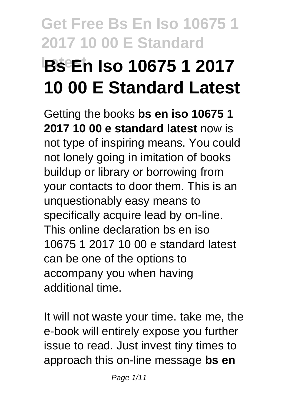# **Get Free Bs En Iso 10675 1 2017 10 00 E Standard Latest Bs En Iso 10675 1 2017 10 00 E Standard Latest**

Getting the books **bs en iso 10675 1 2017 10 00 e standard latest** now is not type of inspiring means. You could not lonely going in imitation of books buildup or library or borrowing from your contacts to door them. This is an unquestionably easy means to specifically acquire lead by on-line. This online declaration bs en iso 10675 1 2017 10 00 e standard latest can be one of the options to accompany you when having additional time.

It will not waste your time. take me, the e-book will entirely expose you further issue to read. Just invest tiny times to approach this on-line message **bs en**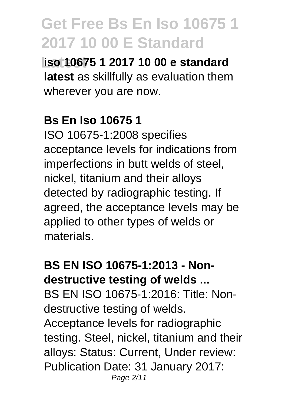**Latest iso 10675 1 2017 10 00 e standard latest** as skillfully as evaluation them wherever you are now.

#### **Bs En Iso 10675 1**

ISO 10675-1:2008 specifies acceptance levels for indications from imperfections in butt welds of steel, nickel, titanium and their alloys detected by radiographic testing. If agreed, the acceptance levels may be applied to other types of welds or materials.

**BS EN ISO 10675-1:2013 - Nondestructive testing of welds ...** BS EN ISO 10675-1:2016: Title: Nondestructive testing of welds. Acceptance levels for radiographic testing. Steel, nickel, titanium and their alloys: Status: Current, Under review: Publication Date: 31 January 2017: Page 2/11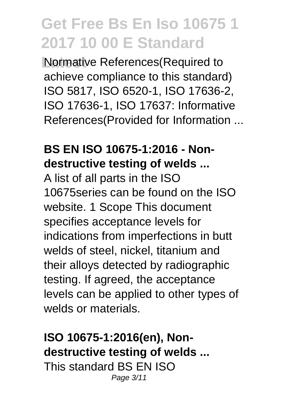**Normative References (Required to** achieve compliance to this standard) ISO 5817, ISO 6520-1, ISO 17636-2, ISO 17636-1, ISO 17637: Informative References(Provided for Information ...

#### **BS EN ISO 10675-1:2016 - Nondestructive testing of welds ...**

A list of all parts in the ISO 10675series can be found on the ISO website. 1 Scope This document specifies acceptance levels for indications from imperfections in butt welds of steel, nickel, titanium and their alloys detected by radiographic testing. If agreed, the acceptance levels can be applied to other types of welds or materials.

#### **ISO 10675-1:2016(en), Nondestructive testing of welds ...** This standard BS EN ISO

Page 3/11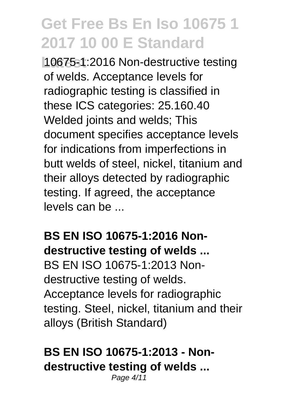**Latest** 10675-1:2016 Non-destructive testing of welds. Acceptance levels for radiographic testing is classified in these ICS categories: 25.160.40 Welded joints and welds; This document specifies acceptance levels for indications from imperfections in butt welds of steel, nickel, titanium and their alloys detected by radiographic testing. If agreed, the acceptance levels can be ...

#### **BS EN ISO 10675-1:2016 Nondestructive testing of welds ...**

BS EN ISO 10675-1:2013 Nondestructive testing of welds. Acceptance levels for radiographic testing. Steel, nickel, titanium and their alloys (British Standard)

### **BS EN ISO 10675-1:2013 - Nondestructive testing of welds ...**

Page 4/11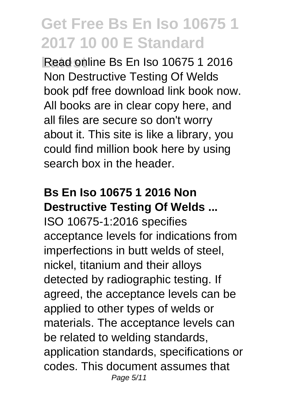**Latest** Read online Bs En Iso 10675 1 2016 Non Destructive Testing Of Welds book pdf free download link book now. All books are in clear copy here, and all files are secure so don't worry about it. This site is like a library, you could find million book here by using search hox in the header.

### **Bs En Iso 10675 1 2016 Non Destructive Testing Of Welds ...**

ISO 10675-1:2016 specifies acceptance levels for indications from imperfections in butt welds of steel, nickel, titanium and their alloys detected by radiographic testing. If agreed, the acceptance levels can be applied to other types of welds or materials. The acceptance levels can be related to welding standards, application standards, specifications or codes. This document assumes that Page 5/11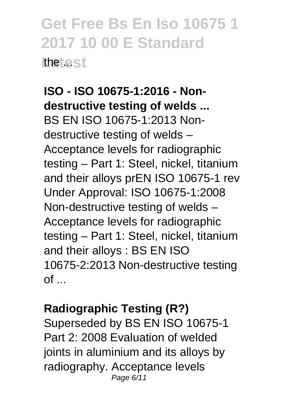**ISO - ISO 10675-1:2016 - Nondestructive testing of welds ...** BS EN ISO 10675-1:2013 Nondestructive testing of welds – Acceptance levels for radiographic testing – Part 1: Steel, nickel, titanium and their alloys prEN ISO 10675-1 rev Under Approval: ISO 10675-1:2008 Non-destructive testing of welds – Acceptance levels for radiographic testing – Part 1: Steel, nickel, titanium and their alloys : BS EN ISO 10675-2:2013 Non-destructive testing  $of \dots$ 

#### **Radiographic Testing (R?)**

Superseded by BS EN ISO 10675-1 Part 2: 2008 Evaluation of welded joints in aluminium and its alloys by radiography. Acceptance levels Page 6/11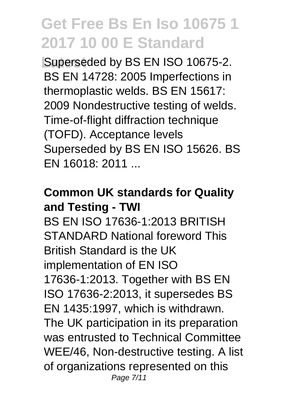**Superseded by BS EN ISO 10675-2.** BS EN 14728: 2005 Imperfections in thermoplastic welds. BS EN 15617: 2009 Nondestructive testing of welds. Time-of-flight diffraction technique (TOFD). Acceptance levels Superseded by BS EN ISO 15626. BS  $FN$  16018: 2011

### **Common UK standards for Quality and Testing - TWI**

BS EN ISO 17636-1:2013 BRITISH STANDARD National foreword This British Standard is the UK implementation of EN ISO 17636-1:2013. Together with BS EN ISO 17636-2:2013, it supersedes BS EN 1435:1997, which is withdrawn. The UK participation in its preparation was entrusted to Technical Committee WEE/46, Non-destructive testing. A list of organizations represented on this Page 7/11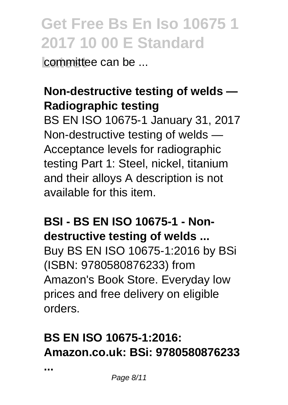**Lommittee can be ...** 

### **Non-destructive testing of welds — Radiographic testing**

BS EN ISO 10675-1 January 31, 2017 Non-destructive testing of welds — Acceptance levels for radiographic testing Part 1: Steel, nickel, titanium and their alloys A description is not available for this item.

### **BSI - BS EN ISO 10675-1 - Nondestructive testing of welds ...** Buy BS EN ISO 10675-1:2016 by BSi (ISBN: 9780580876233) from Amazon's Book Store. Everyday low prices and free delivery on eligible orders.

### **BS EN ISO 10675-1:2016: Amazon.co.uk: BSi: 9780580876233**

**...**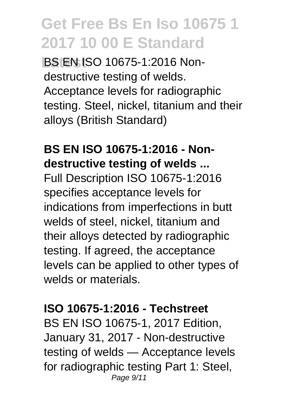**Latest** BS EN ISO 10675-1:2016 Nondestructive testing of welds. Acceptance levels for radiographic testing. Steel, nickel, titanium and their alloys (British Standard)

#### **BS EN ISO 10675-1:2016 - Nondestructive testing of welds ...**

Full Description ISO 10675-1:2016 specifies acceptance levels for indications from imperfections in butt welds of steel, nickel, titanium and their alloys detected by radiographic testing. If agreed, the acceptance levels can be applied to other types of welds or materials.

#### **ISO 10675-1:2016 - Techstreet**

BS EN ISO 10675-1, 2017 Edition, January 31, 2017 - Non-destructive testing of welds — Acceptance levels for radiographic testing Part 1: Steel, Page 9/11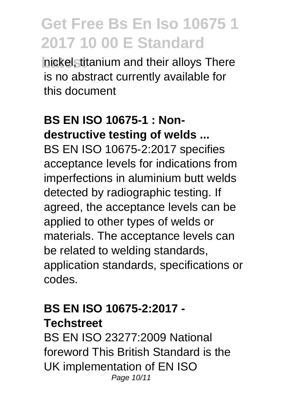**Latest** nickel, titanium and their alloys There is no abstract currently available for this document

#### **BS EN ISO 10675-1 : Nondestructive testing of welds ...**

BS EN ISO 10675-2:2017 specifies acceptance levels for indications from imperfections in aluminium butt welds detected by radiographic testing. If agreed, the acceptance levels can be applied to other types of welds or materials. The acceptance levels can be related to welding standards, application standards, specifications or codes.

### **BS EN ISO 10675-2:2017 - Techstreet**

BS EN ISO 23277:2009 National foreword This British Standard is the UK implementation of EN ISO Page 10/11